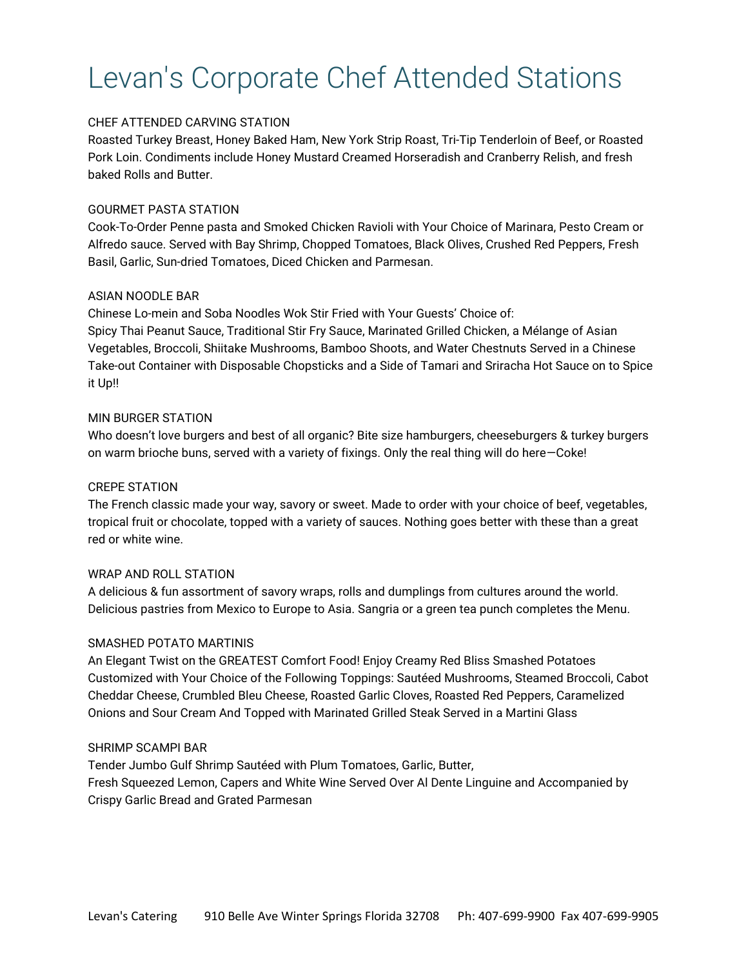# Levan's Corporate Chef Attended Stations

## CHEF ATTENDED CARVING STATION

Roasted Turkey Breast, Honey Baked Ham, New York Strip Roast, Tri‐Tip Tenderloin of Beef, or Roasted Pork Loin. Condiments include Honey Mustard Creamed Horseradish and Cranberry Relish, and fresh baked Rolls and Butter.

# GOURMET PASTA STATION

Cook‐To‐Order Penne pasta and Smoked Chicken Ravioli with Your Choice of Marinara, Pesto Cream or Alfredo sauce. Served with Bay Shrimp, Chopped Tomatoes, Black Olives, Crushed Red Peppers, Fresh Basil, Garlic, Sun‐dried Tomatoes, Diced Chicken and Parmesan.

## ASIAN NOODLE BAR

Chinese Lo-mein and Soba Noodles Wok Stir Fried with Your Guests' Choice of: Spicy Thai Peanut Sauce, Traditional Stir Fry Sauce, Marinated Grilled Chicken, a Mélange of Asian Vegetables, Broccoli, Shiitake Mushrooms, Bamboo Shoots, and Water Chestnuts Served in a Chinese Take-out Container with Disposable Chopsticks and a Side of Tamari and Sriracha Hot Sauce on to Spice it Up!!

## MIN BURGER STATION

Who doesn't love burgers and best of all organic? Bite size hamburgers, cheeseburgers & turkey burgers on warm brioche buns, served with a variety of fixings. Only the real thing will do here—Coke!

# CREPE STATION

The French classic made your way, savory or sweet. Made to order with your choice of beef, vegetables, tropical fruit or chocolate, topped with a variety of sauces. Nothing goes better with these than a great red or white wine.

## WRAP AND ROLL STATION

A delicious & fun assortment of savory wraps, rolls and dumplings from cultures around the world. Delicious pastries from Mexico to Europe to Asia. Sangria or a green tea punch completes the Menu.

## SMASHED POTATO MARTINIS

An Elegant Twist on the GREATEST Comfort Food! Enjoy Creamy Red Bliss Smashed Potatoes Customized with Your Choice of the Following Toppings: Sautéed Mushrooms, Steamed Broccoli, Cabot Cheddar Cheese, Crumbled Bleu Cheese, Roasted Garlic Cloves, Roasted Red Peppers, Caramelized Onions and Sour Cream And Topped with Marinated Grilled Steak Served in a Martini Glass

## SHRIMP SCAMPI BAR

Tender Jumbo Gulf Shrimp Sautéed with Plum Tomatoes, Garlic, Butter, Fresh Squeezed Lemon, Capers and White Wine Served Over Al Dente Linguine and Accompanied by Crispy Garlic Bread and Grated Parmesan